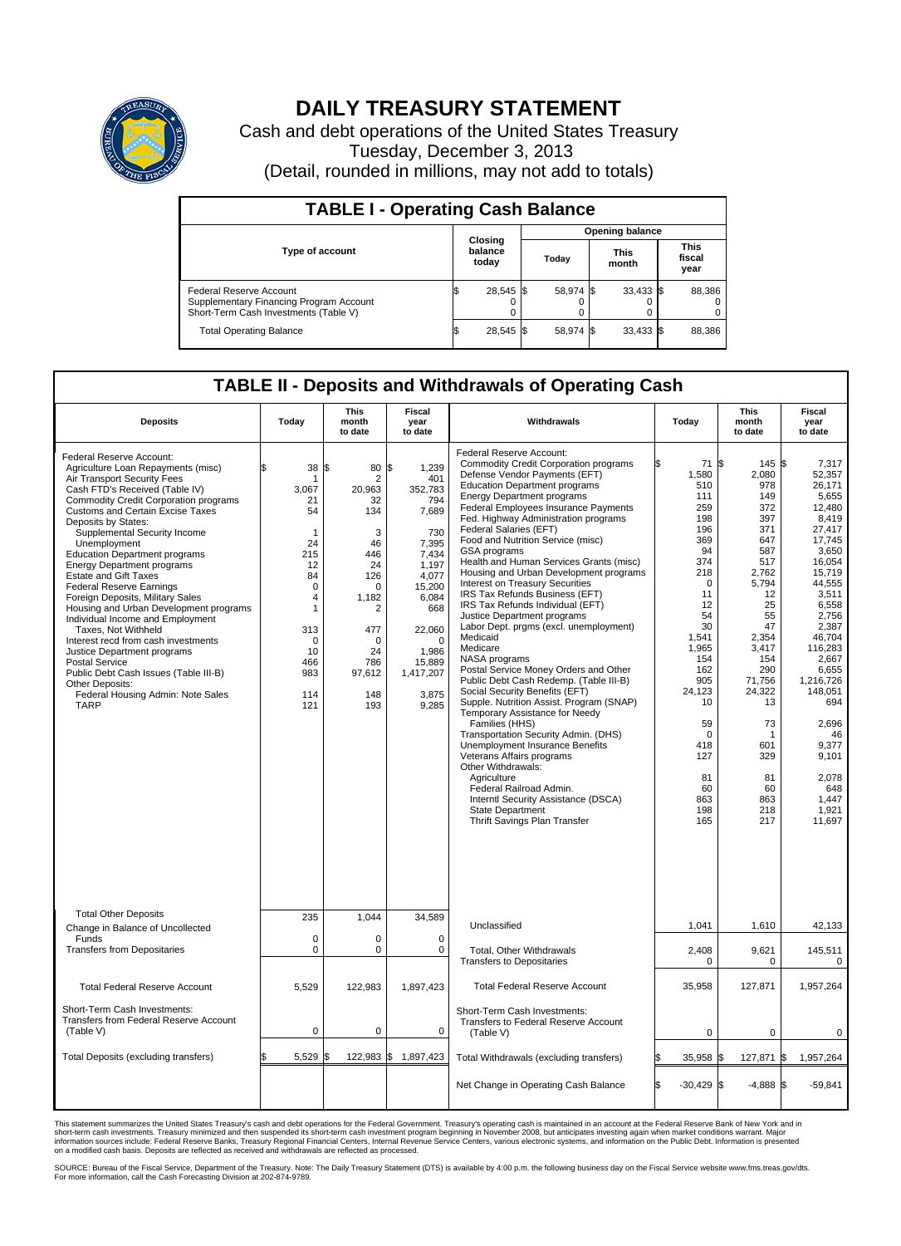

## **DAILY TREASURY STATEMENT**

Cash and debt operations of the United States Treasury Tuesday, December 3, 2013 (Detail, rounded in millions, may not add to totals)

| <b>TABLE I - Operating Cash Balance</b>                                                                     |  |                             |       |                        |                      |             |  |                               |  |  |  |
|-------------------------------------------------------------------------------------------------------------|--|-----------------------------|-------|------------------------|----------------------|-------------|--|-------------------------------|--|--|--|
|                                                                                                             |  |                             |       | <b>Opening balance</b> |                      |             |  |                               |  |  |  |
| <b>Type of account</b>                                                                                      |  | Closing<br>balance<br>today | Todav |                        | <b>This</b><br>month |             |  | <b>This</b><br>fiscal<br>year |  |  |  |
| Federal Reserve Account<br>Supplementary Financing Program Account<br>Short-Term Cash Investments (Table V) |  | 28,545 \$                   |       | 58.974 \$              |                      | $33,433$ \$ |  | 88,386                        |  |  |  |
| <b>Total Operating Balance</b>                                                                              |  | 28,545 \$                   |       | 58.974 \$              |                      | $33,433$ \$ |  | 88,386                        |  |  |  |

## **TABLE II - Deposits and Withdrawals of Operating Cash**

| <b>Deposits</b>                                                                                                                                                                                                                                                                                                                                                                                                                                                                                                                                                                                                                                                                                                                                                                                                  | Today                                                                                                                                                                           | <b>This</b><br>month<br>to date                                                                                                                              | <b>Fiscal</b><br>year<br>to date                                                                                                                                                           | Withdrawals                                                                                                                                                                                                                                                                                                                                                                                                                                                                                                                                                                                                                                                                                                                                                                                                                                                                                                                                                                                                                                                                                                                                                          | Today                                                                                                                                                                                                                                    | <b>This</b><br>month<br>to date                                                                                                                                                                                                                     | <b>Fiscal</b><br>year<br>to date                                                                                                                                                                                                                                                                        |
|------------------------------------------------------------------------------------------------------------------------------------------------------------------------------------------------------------------------------------------------------------------------------------------------------------------------------------------------------------------------------------------------------------------------------------------------------------------------------------------------------------------------------------------------------------------------------------------------------------------------------------------------------------------------------------------------------------------------------------------------------------------------------------------------------------------|---------------------------------------------------------------------------------------------------------------------------------------------------------------------------------|--------------------------------------------------------------------------------------------------------------------------------------------------------------|--------------------------------------------------------------------------------------------------------------------------------------------------------------------------------------------|----------------------------------------------------------------------------------------------------------------------------------------------------------------------------------------------------------------------------------------------------------------------------------------------------------------------------------------------------------------------------------------------------------------------------------------------------------------------------------------------------------------------------------------------------------------------------------------------------------------------------------------------------------------------------------------------------------------------------------------------------------------------------------------------------------------------------------------------------------------------------------------------------------------------------------------------------------------------------------------------------------------------------------------------------------------------------------------------------------------------------------------------------------------------|------------------------------------------------------------------------------------------------------------------------------------------------------------------------------------------------------------------------------------------|-----------------------------------------------------------------------------------------------------------------------------------------------------------------------------------------------------------------------------------------------------|---------------------------------------------------------------------------------------------------------------------------------------------------------------------------------------------------------------------------------------------------------------------------------------------------------|
| Federal Reserve Account:<br>Agriculture Loan Repayments (misc)<br>Air Transport Security Fees<br>Cash FTD's Received (Table IV)<br><b>Commodity Credit Corporation programs</b><br><b>Customs and Certain Excise Taxes</b><br>Deposits by States:<br>Supplemental Security Income<br>Unemployment<br><b>Education Department programs</b><br><b>Energy Department programs</b><br><b>Estate and Gift Taxes</b><br><b>Federal Reserve Earnings</b><br>Foreign Deposits, Military Sales<br>Housing and Urban Development programs<br>Individual Income and Employment<br>Taxes. Not Withheld<br>Interest recd from cash investments<br>Justice Department programs<br><b>Postal Service</b><br>Public Debt Cash Issues (Table III-B)<br><b>Other Deposits:</b><br>Federal Housing Admin: Note Sales<br><b>TARP</b> | 38<br>$\overline{1}$<br>3,067<br>21<br>54<br>$\mathbf 1$<br>24<br>215<br>12<br>84<br>$\mathbf 0$<br>$\overline{4}$<br>1<br>313<br>$\mathbf 0$<br>10<br>466<br>983<br>114<br>121 | l\$<br>80<br>$\overline{2}$<br>20,963<br>32<br>134<br>3<br>46<br>446<br>24<br>126<br>0<br>1,182<br>2<br>477<br>$\Omega$<br>24<br>786<br>97,612<br>148<br>193 | \$<br>1,239<br>401<br>352,783<br>794<br>7,689<br>730<br>7,395<br>7,434<br>1,197<br>4,077<br>15,200<br>6,084<br>668<br>22,060<br>$\Omega$<br>1,986<br>15,889<br>1,417,207<br>3,875<br>9,285 | Federal Reserve Account:<br><b>Commodity Credit Corporation programs</b><br>Defense Vendor Payments (EFT)<br><b>Education Department programs</b><br><b>Energy Department programs</b><br>Federal Employees Insurance Payments<br>Fed. Highway Administration programs<br>Federal Salaries (EFT)<br>Food and Nutrition Service (misc)<br>GSA programs<br>Health and Human Services Grants (misc)<br>Housing and Urban Development programs<br>Interest on Treasury Securities<br>IRS Tax Refunds Business (EFT)<br>IRS Tax Refunds Individual (EFT)<br>Justice Department programs<br>Labor Dept. prgms (excl. unemployment)<br>Medicaid<br>Medicare<br>NASA programs<br>Postal Service Money Orders and Other<br>Public Debt Cash Redemp. (Table III-B)<br>Social Security Benefits (EFT)<br>Supple. Nutrition Assist. Program (SNAP)<br>Temporary Assistance for Needy<br>Families (HHS)<br>Transportation Security Admin. (DHS)<br>Unemployment Insurance Benefits<br>Veterans Affairs programs<br>Other Withdrawals:<br>Agriculture<br>Federal Railroad Admin.<br>Interntl Security Assistance (DSCA)<br><b>State Department</b><br>Thrift Savings Plan Transfer | 71 \$<br>1,580<br>510<br>111<br>259<br>198<br>196<br>369<br>94<br>374<br>218<br>$\Omega$<br>11<br>12<br>54<br>30<br>1,541<br>1,965<br>154<br>162<br>905<br>24,123<br>10<br>59<br>$\Omega$<br>418<br>127<br>81<br>60<br>863<br>198<br>165 | $145$ \\$<br>2,080<br>978<br>149<br>372<br>397<br>371<br>647<br>587<br>517<br>2,762<br>5.794<br>12<br>25<br>55<br>47<br>2,354<br>3,417<br>154<br>290<br>71,756<br>24,322<br>13<br>73<br>$\mathbf{1}$<br>601<br>329<br>81<br>60<br>863<br>218<br>217 | 7,317<br>52,357<br>26,171<br>5,655<br>12,480<br>8,419<br>27,417<br>17,745<br>3,650<br>16,054<br>15,719<br>44,555<br>3,511<br>6,558<br>2.756<br>2,387<br>46.704<br>116,283<br>2.667<br>6,655<br>1,216,726<br>148,051<br>694<br>2,696<br>46<br>9,377<br>9.101<br>2,078<br>648<br>1,447<br>1,921<br>11,697 |
| <b>Total Other Deposits</b><br>Change in Balance of Uncollected                                                                                                                                                                                                                                                                                                                                                                                                                                                                                                                                                                                                                                                                                                                                                  | 235                                                                                                                                                                             | 1,044                                                                                                                                                        | 34,589                                                                                                                                                                                     | Unclassified                                                                                                                                                                                                                                                                                                                                                                                                                                                                                                                                                                                                                                                                                                                                                                                                                                                                                                                                                                                                                                                                                                                                                         | 1,041                                                                                                                                                                                                                                    | 1,610                                                                                                                                                                                                                                               | 42,133                                                                                                                                                                                                                                                                                                  |
| Funds<br><b>Transfers from Depositaries</b>                                                                                                                                                                                                                                                                                                                                                                                                                                                                                                                                                                                                                                                                                                                                                                      | $\mathbf 0$<br>0                                                                                                                                                                | $\mathbf 0$<br>$\pmb{0}$                                                                                                                                     | $\mathbf 0$<br>$\mathbf 0$                                                                                                                                                                 | Total, Other Withdrawals                                                                                                                                                                                                                                                                                                                                                                                                                                                                                                                                                                                                                                                                                                                                                                                                                                                                                                                                                                                                                                                                                                                                             | 2,408                                                                                                                                                                                                                                    | 9,621                                                                                                                                                                                                                                               | 145,511                                                                                                                                                                                                                                                                                                 |
|                                                                                                                                                                                                                                                                                                                                                                                                                                                                                                                                                                                                                                                                                                                                                                                                                  |                                                                                                                                                                                 |                                                                                                                                                              |                                                                                                                                                                                            | <b>Transfers to Depositaries</b>                                                                                                                                                                                                                                                                                                                                                                                                                                                                                                                                                                                                                                                                                                                                                                                                                                                                                                                                                                                                                                                                                                                                     | $\Omega$                                                                                                                                                                                                                                 | 0                                                                                                                                                                                                                                                   | 0                                                                                                                                                                                                                                                                                                       |
| <b>Total Federal Reserve Account</b>                                                                                                                                                                                                                                                                                                                                                                                                                                                                                                                                                                                                                                                                                                                                                                             | 5,529                                                                                                                                                                           | 122,983                                                                                                                                                      | 1,897,423                                                                                                                                                                                  | <b>Total Federal Reserve Account</b>                                                                                                                                                                                                                                                                                                                                                                                                                                                                                                                                                                                                                                                                                                                                                                                                                                                                                                                                                                                                                                                                                                                                 | 35,958                                                                                                                                                                                                                                   | 127,871                                                                                                                                                                                                                                             | 1.957.264                                                                                                                                                                                                                                                                                               |
| Short-Term Cash Investments:<br><b>Transfers from Federal Reserve Account</b><br>(Table V)                                                                                                                                                                                                                                                                                                                                                                                                                                                                                                                                                                                                                                                                                                                       | $\pmb{0}$                                                                                                                                                                       | $\pmb{0}$                                                                                                                                                    | 0                                                                                                                                                                                          | Short-Term Cash Investments:<br>Transfers to Federal Reserve Account<br>(Table V)                                                                                                                                                                                                                                                                                                                                                                                                                                                                                                                                                                                                                                                                                                                                                                                                                                                                                                                                                                                                                                                                                    | $\mathbf 0$                                                                                                                                                                                                                              | 0                                                                                                                                                                                                                                                   | 0                                                                                                                                                                                                                                                                                                       |
| <b>Total Deposits (excluding transfers)</b>                                                                                                                                                                                                                                                                                                                                                                                                                                                                                                                                                                                                                                                                                                                                                                      | 5,529                                                                                                                                                                           | 122,983 \$<br>l\$                                                                                                                                            | 1,897,423                                                                                                                                                                                  | Total Withdrawals (excluding transfers)                                                                                                                                                                                                                                                                                                                                                                                                                                                                                                                                                                                                                                                                                                                                                                                                                                                                                                                                                                                                                                                                                                                              | 35,958 \$                                                                                                                                                                                                                                | 127,871                                                                                                                                                                                                                                             | 1\$<br>1,957,264                                                                                                                                                                                                                                                                                        |
|                                                                                                                                                                                                                                                                                                                                                                                                                                                                                                                                                                                                                                                                                                                                                                                                                  |                                                                                                                                                                                 |                                                                                                                                                              |                                                                                                                                                                                            | Net Change in Operating Cash Balance                                                                                                                                                                                                                                                                                                                                                                                                                                                                                                                                                                                                                                                                                                                                                                                                                                                                                                                                                                                                                                                                                                                                 | l\$<br>$-30,429$ \$                                                                                                                                                                                                                      | $-4,888$ \$                                                                                                                                                                                                                                         | $-59,841$                                                                                                                                                                                                                                                                                               |

This statement summarizes the United States Treasury's cash and debt operations for the Federal Government. Treasury's operating cash is maintained in an account at the Federal Reserve Bank of New York and in<br>short-term ca

SOURCE: Bureau of the Fiscal Service, Department of the Treasury. Note: The Daily Treasury Statement (DTS) is available by 4:00 p.m. the following business day on the Fiscal Service website www.fms.treas.gov/dts.<br>For more